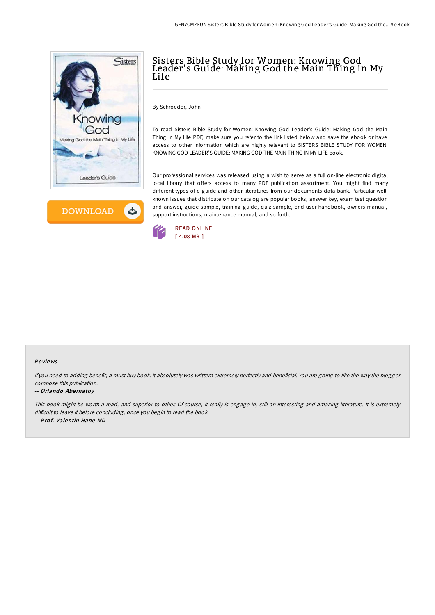



## Sisters Bible Study for Women: Knowing God Leader' s Guide: Making God the Main Thing in My Life

By Schroeder, John

To read Sisters Bible Study for Women: Knowing God Leader's Guide: Making God the Main Thing in My Life PDF, make sure you refer to the link listed below and save the ebook or have access to other information which are highly relevant to SISTERS BIBLE STUDY FOR WOMEN: KNOWING GOD LEADER'S GUIDE: MAKING GOD THE MAIN THING IN MY LIFE book.

Our professional services was released using a wish to serve as a full on-line electronic digital local library that offers access to many PDF publication assortment. You might find many different types of e-guide and other literatures from our documents data bank. Particular wellknown issues that distribute on our catalog are popular books, answer key, exam test question and answer, guide sample, training guide, quiz sample, end user handbook, owners manual, support instructions, maintenance manual, and so forth.



### Re views

If you need to adding benefit, <sup>a</sup> must buy book. it absolutely was writtern extremely perfectly and beneficial. You are going to like the way the blogger compose this publication.

#### -- Orlando Abernathy

This book might be worth <sup>a</sup> read, and superior to other. Of course, it really is engage in, still an interesting and amazing literature. It is extremely difficult to leave it before concluding, once you begin to read the book. -- Prof. Valentin Hane MD